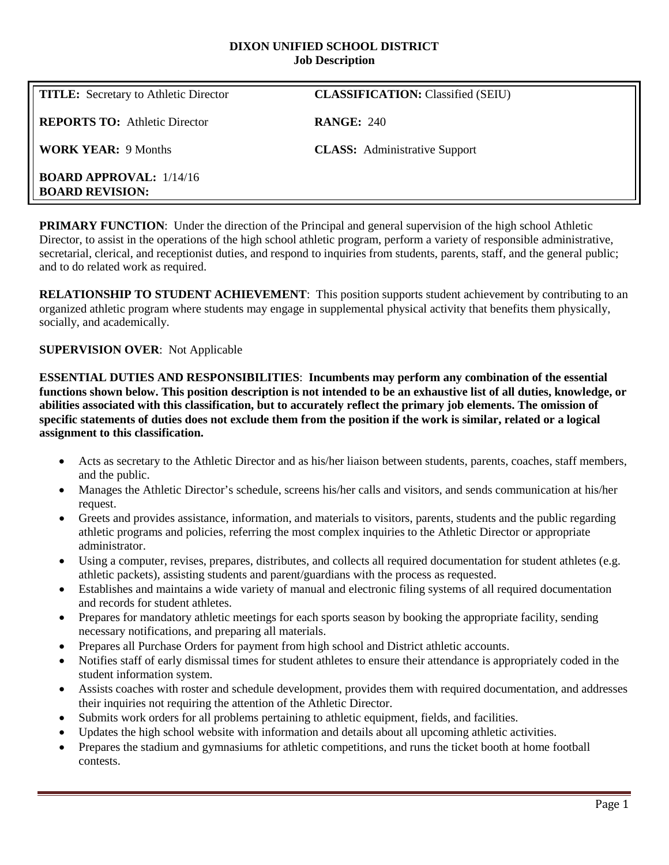#### **DIXON UNIFIED SCHOOL DISTRICT Job Description**

| <b>TITLE:</b> Secretary to Athletic Director             | <b>CLASSIFICATION:</b> Classified (SEIU) |
|----------------------------------------------------------|------------------------------------------|
| <b>REPORTS TO:</b> Athletic Director                     | <b>RANGE: 240</b>                        |
| <b>WORK YEAR: 9 Months</b>                               | <b>CLASS:</b> Administrative Support     |
| <b>BOARD APPROVAL:</b> 1/14/16<br><b>BOARD REVISION:</b> |                                          |

**PRIMARY FUNCTION:** Under the direction of the Principal and general supervision of the high school Athletic Director, to assist in the operations of the high school athletic program, perform a variety of responsible administrative, secretarial, clerical, and receptionist duties, and respond to inquiries from students, parents, staff, and the general public; and to do related work as required.

**RELATIONSHIP TO STUDENT ACHIEVEMENT**: This position supports student achievement by contributing to an organized athletic program where students may engage in supplemental physical activity that benefits them physically, socially, and academically.

## **SUPERVISION OVER**: Not Applicable

**ESSENTIAL DUTIES AND RESPONSIBILITIES**: **Incumbents may perform any combination of the essential functions shown below. This position description is not intended to be an exhaustive list of all duties, knowledge, or abilities associated with this classification, but to accurately reflect the primary job elements. The omission of specific statements of duties does not exclude them from the position if the work is similar, related or a logical assignment to this classification.**

- Acts as secretary to the Athletic Director and as his/her liaison between students, parents, coaches, staff members, and the public.
- Manages the Athletic Director's schedule, screens his/her calls and visitors, and sends communication at his/her request.
- Greets and provides assistance, information, and materials to visitors, parents, students and the public regarding athletic programs and policies, referring the most complex inquiries to the Athletic Director or appropriate administrator.
- Using a computer, revises, prepares, distributes, and collects all required documentation for student athletes (e.g. athletic packets), assisting students and parent/guardians with the process as requested.
- Establishes and maintains a wide variety of manual and electronic filing systems of all required documentation and records for student athletes.
- Prepares for mandatory athletic meetings for each sports season by booking the appropriate facility, sending necessary notifications, and preparing all materials.
- Prepares all Purchase Orders for payment from high school and District athletic accounts.
- Notifies staff of early dismissal times for student athletes to ensure their attendance is appropriately coded in the student information system.
- Assists coaches with roster and schedule development, provides them with required documentation, and addresses their inquiries not requiring the attention of the Athletic Director.
- Submits work orders for all problems pertaining to athletic equipment, fields, and facilities.
- Updates the high school website with information and details about all upcoming athletic activities.
- Prepares the stadium and gymnasiums for athletic competitions, and runs the ticket booth at home football contests.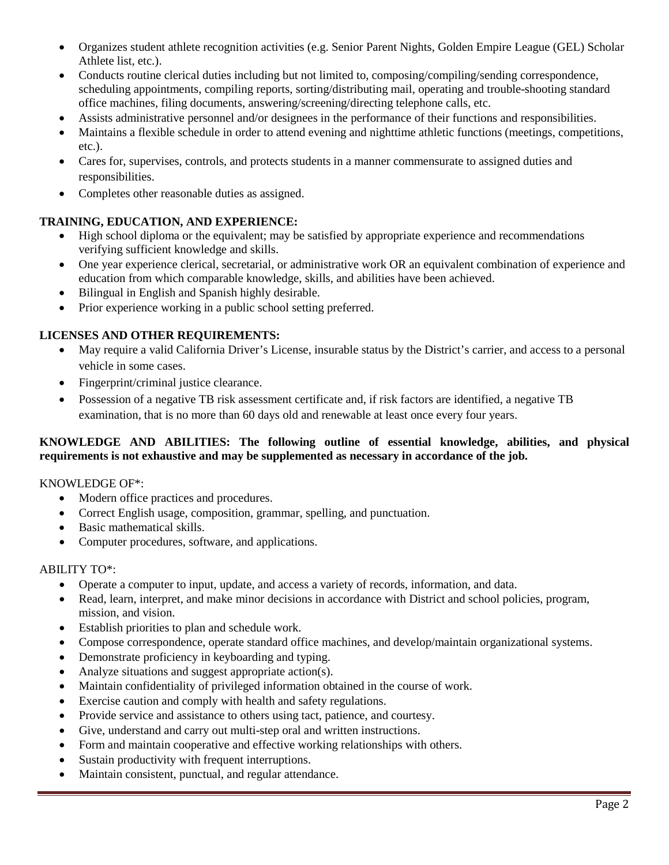- Organizes student athlete recognition activities (e.g. Senior Parent Nights, Golden Empire League (GEL) Scholar Athlete list, etc.).
- Conducts routine clerical duties including but not limited to, composing/compiling/sending correspondence, scheduling appointments, compiling reports, sorting/distributing mail, operating and trouble-shooting standard office machines, filing documents, answering/screening/directing telephone calls, etc.
- Assists administrative personnel and/or designees in the performance of their functions and responsibilities.
- Maintains a flexible schedule in order to attend evening and nighttime athletic functions (meetings, competitions, etc.).
- Cares for, supervises, controls, and protects students in a manner commensurate to assigned duties and responsibilities.
- Completes other reasonable duties as assigned.

# **TRAINING, EDUCATION, AND EXPERIENCE:**

- High school diploma or the equivalent; may be satisfied by appropriate experience and recommendations verifying sufficient knowledge and skills.
- One year experience clerical, secretarial, or administrative work OR an equivalent combination of experience and education from which comparable knowledge, skills, and abilities have been achieved.
- Bilingual in English and Spanish highly desirable.
- Prior experience working in a public school setting preferred.

## **LICENSES AND OTHER REQUIREMENTS:**

- May require a valid California Driver's License, insurable status by the District's carrier, and access to a personal vehicle in some cases.
- Fingerprint/criminal justice clearance.
- Possession of a negative TB risk assessment certificate and, if risk factors are identified, a negative TB examination, that is no more than 60 days old and renewable at least once every four years.

## **KNOWLEDGE AND ABILITIES: The following outline of essential knowledge, abilities, and physical requirements is not exhaustive and may be supplemented as necessary in accordance of the job.**

### KNOWLEDGE OF\*:

- Modern office practices and procedures.
- Correct English usage, composition, grammar, spelling, and punctuation.
- Basic mathematical skills.
- Computer procedures, software, and applications.

### ABILITY TO\*:

- Operate a computer to input, update, and access a variety of records, information, and data.
- Read, learn, interpret, and make minor decisions in accordance with District and school policies, program, mission, and vision.
- Establish priorities to plan and schedule work.
- Compose correspondence, operate standard office machines, and develop/maintain organizational systems.
- Demonstrate proficiency in keyboarding and typing.
- Analyze situations and suggest appropriate action(s).
- Maintain confidentiality of privileged information obtained in the course of work.
- Exercise caution and comply with health and safety regulations.
- Provide service and assistance to others using tact, patience, and courtesy.
- Give, understand and carry out multi-step oral and written instructions.
- Form and maintain cooperative and effective working relationships with others.
- Sustain productivity with frequent interruptions.
- Maintain consistent, punctual, and regular attendance.